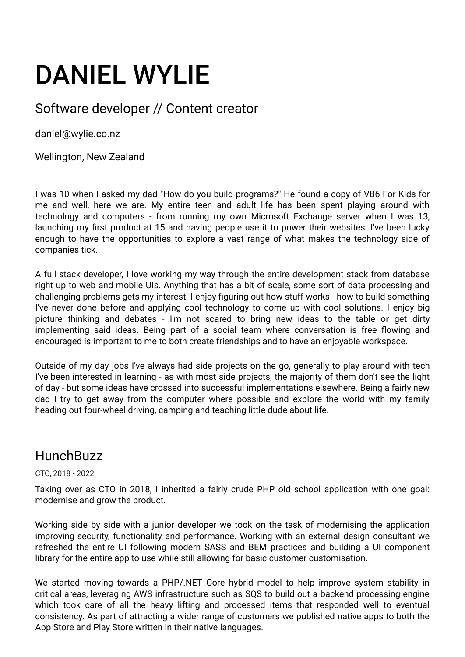# DANIEL WYLIE

## Software developer // Content creator

daniel@wylie.co.nz

Wellington, New Zealand

I was 10 when I asked my dad "How do you build programs?" He found a copy of VB6 For Kids for me and well, here we are. My entire teen and adult life has been spent playing around with technology and computers - from running my own Microsoft Exchange server when I was 13, launching my first product at 15 and having people use it to power their websites. I've been lucky enough to have the opportunities to explore a vast range of what makes the technology side of companies tick.

A full stack developer, I love working my way through the entire development stack from database right up to web and mobile UIs. Anything that has a bit of scale, some sort of data processing and challenging problems gets my interest. I enjoy figuring out how stuff works - how to build something I've never done before and applying cool technology to come up with cool solutions. I enjoy big picture thinking and debates - I'm not scared to bring new ideas to the table or get dirty implementing said ideas. Being part of a social team where conversation is free flowing and encouraged is important to me to both create friendships and to have an enjoyable workspace.

Outside of my day jobs I've always had side projects on the go, generally to play around with tech I've been interested in learning - as with most side projects, the majority of them don't see the light of day - but some ideas have crossed into successful implementations elsewhere. Being a fairly new dad I try to get away from the computer where possible and explore the world with my family heading out four-wheel driving, camping and teaching little dude about life.

## **HunchBuzz**

#### CTO, 2018 - 2022

Taking over as CTO in 2018, I inherited a fairly crude PHP old school application with one goal: modernise and grow the product.

Working side by side with a junior developer we took on the task of modernising the application improving security, functionality and performance. Working with an external design consultant we refreshed the entire UI following modern SASS and BEM practices and building a UI component library for the entire app to use while still allowing for basic customer customisation.

We started moving towards a PHP/.NET Core hybrid model to help improve system stability in critical areas, leveraging AWS infrastructure such as SQS to build out a backend processing engine which took care of all the heavy lifting and processed items that responded well to eventual consistency. As part of attracting a wider range of customers we published native apps to both the App Store and Play Store written in their native languages.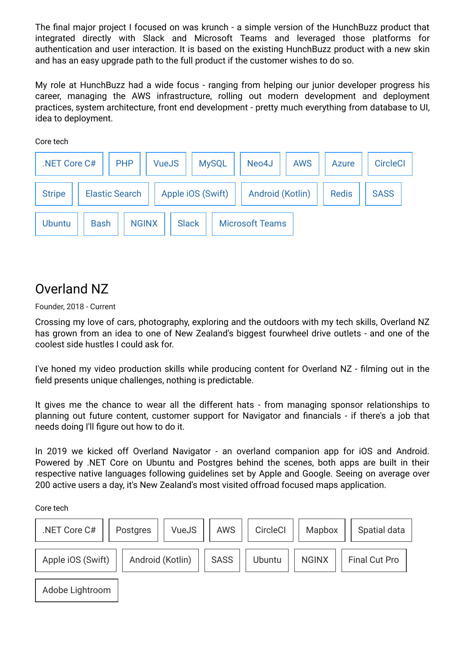The final major project I focused on was krunch - a simple version of the HunchBuzz product that integrated directly with Slack and Microsoft Teams and leveraged those platforms for authentication and user interaction. It is based on the existing HunchBuzz product with a new skin and has an easy upgrade path to the full product if the customer wishes to do so.

My role at HunchBuzz had a wide focus - ranging from helping our junior developer progress his career, managing the AWS infrastructure, rolling out modern development and deployment practices, system architecture, front end development - pretty much everything from database to UI, idea to deployment.

Core tech

| .NET Core C#                           |             | <b>PHP</b> | <b>VueJS</b> |                   | <b>MySQL</b> | Neo4J                  | <b>AWS</b>       | <b>Azure</b> | <b>CircleCI</b> |
|----------------------------------------|-------------|------------|--------------|-------------------|--------------|------------------------|------------------|--------------|-----------------|
| <b>Elastic Search</b><br><b>Stripe</b> |             |            |              | Apple iOS (Swift) |              |                        | Android (Kotlin) |              | <b>SASS</b>     |
| <b>Ubuntu</b>                          | <b>Bash</b> |            | <b>NGINX</b> | <b>Slack</b>      |              | <b>Microsoft Teams</b> |                  |              |                 |

# Overland NZ

Founder, 2018 - Current

Crossing my love of cars, photography, exploring and the outdoors with my tech skills, Overland NZ has grown from an idea to one of New Zealand's biggest fourwheel drive outlets - and one of the coolest side hustles I could ask for.

I've honed my video production skills while producing content for Overland NZ - filming out in the field presents unique challenges, nothing is predictable.

It gives me the chance to wear all the different hats - from managing sponsor relationships to planning out future content, customer support for Navigator and financials - if there's a job that needs doing I'll figure out how to do it.

In 2019 we kicked off Overland Navigator - an overland companion app for iOS and Android. Powered by .NET Core on Ubuntu and Postgres behind the scenes, both apps are built in their respective native languages following guidelines set by Apple and Google. Seeing on average over 200 active users a day, it's New Zealand's most visited offroad focused maps application.

Core tech

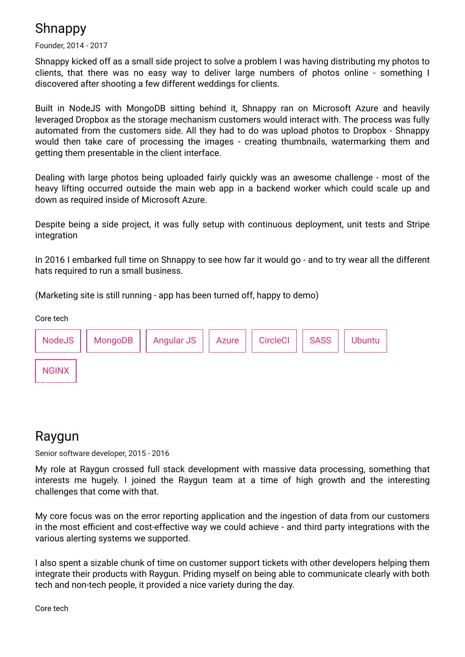# **Shnappy**

Founder, 2014 - 2017

Shnappy kicked off as a small side project to solve a problem I was having distributing my photos to clients, that there was no easy way to deliver large numbers of photos online - something I discovered after shooting a few different weddings for clients.

Built in NodeJS with MongoDB sitting behind it, Shnappy ran on Microsoft Azure and heavily leveraged Dropbox as the storage mechanism customers would interact with. The process was fully automated from the customers side. All they had to do was upload photos to Dropbox - Shnappy would then take care of processing the images - creating thumbnails, watermarking them and getting them presentable in the client interface.

Dealing with large photos being uploaded fairly quickly was an awesome challenge - most of the heavy lifting occurred outside the main web app in a backend worker which could scale up and down as required inside of Microsoft Azure.

Despite being a side project, it was fully setup with continuous deployment, unit tests and Stripe integration

In 2016 I embarked full time on Shnappy to see how far it would go - and to try wear all the different hats required to run a small business.

(Marketing site is still running - app has been turned off, happy to demo)



#### Raygun

Senior software developer, 2015 - 2016

My role at Raygun crossed full stack development with massive data processing, something that interests me hugely. I joined the Raygun team at a time of high growth and the interesting challenges that come with that.

My core focus was on the error reporting application and the ingestion of data from our customers in the most efficient and cost-effective way we could achieve - and third party integrations with the various alerting systems we supported.

I also spent a sizable chunk of time on customer support tickets with other developers helping them integrate their products with Raygun. Priding myself on being able to communicate clearly with both tech and non-tech people, it provided a nice variety during the day.

Core tech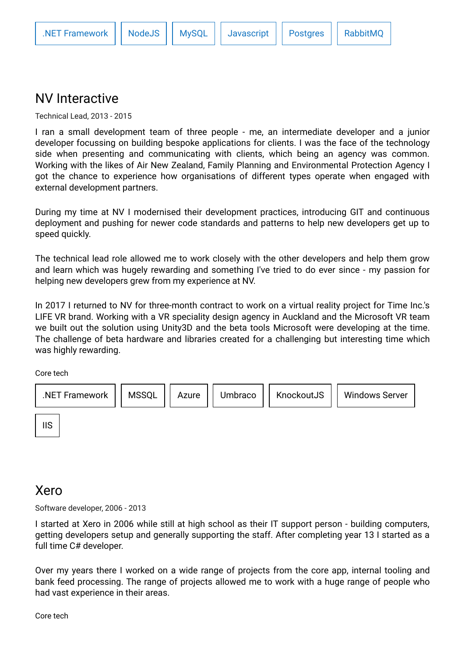#### NV Interactive

Technical Lead, 2013 - 2015

I ran a small development team of three people - me, an intermediate developer and a junior developer focussing on building bespoke applications for clients. I was the face of the technology side when presenting and communicating with clients, which being an agency was common. Working with the likes of Air New Zealand, Family Planning and Environmental Protection Agency I got the chance to experience how organisations of different types operate when engaged with external development partners.

During my time at NV I modernised their development practices, introducing GIT and continuous deployment and pushing for newer code standards and patterns to help new developers get up to speed quickly.

The technical lead role allowed me to work closely with the other developers and help them grow and learn which was hugely rewarding and something I've tried to do ever since - my passion for helping new developers grew from my experience at NV.

In 2017 I returned to NV for three-month contract to work on a virtual reality project for Time Inc.'s LIFE VR brand. Working with a VR speciality design agency in Auckland and the Microsoft VR team we built out the solution using Unity3D and the beta tools Microsoft were developing at the time. The challenge of beta hardware and libraries created for a challenging but interesting time which was highly rewarding.

Core tech



#### Xero

Software developer, 2006 - 2013

I started at Xero in 2006 while still at high school as their IT support person - building computers, getting developers setup and generally supporting the staff. After completing year 13 I started as a full time C# developer.

Over my years there I worked on a wide range of projects from the core app, internal tooling and bank feed processing. The range of projects allowed me to work with a huge range of people who had vast experience in their areas.

Core tech